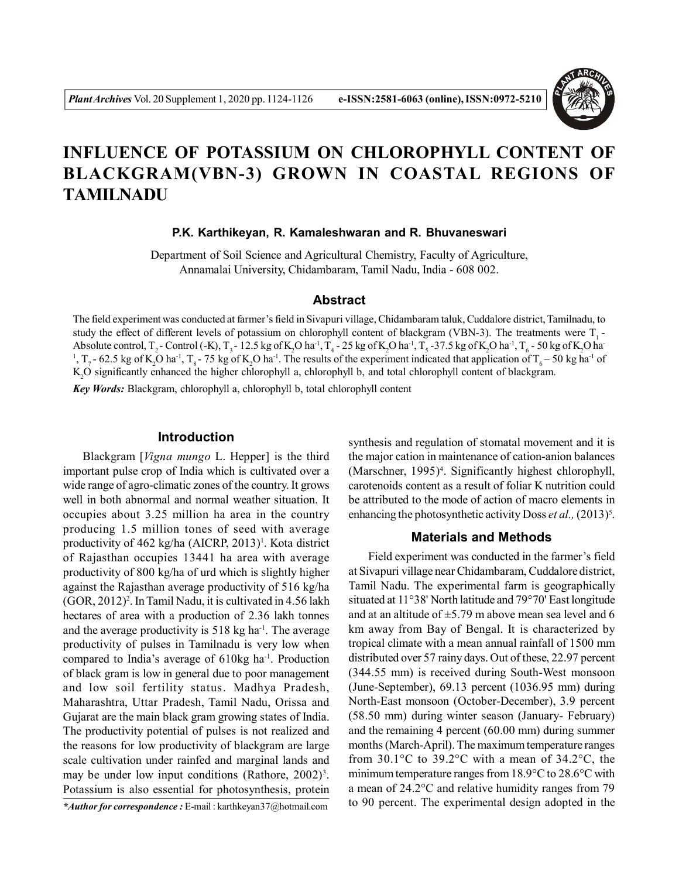

# **INFLUENCE OF POTASSIUM ON CHLOROPHYLL CONTENT OF BLACKGRAM(VBN-3) GROWN IN COASTAL REGIONS OF TAMILNADU**

#### **P.K. Karthikeyan, R. Kamaleshwaran and R. Bhuvaneswari**

Department of Soil Science and Agricultural Chemistry, Faculty of Agriculture, Annamalai University, Chidambaram, Tamil Nadu, India - 608 002.

## **Abstract**

The field experiment was conducted at farmer's field in Sivapuri village, Chidambaram taluk, Cuddalore district, Tamilnadu, to study the effect of different levels of potassium on chlorophyll content of blackgram (VBN-3). The treatments were  $T<sub>1</sub>$ -Absolute control,  $T_2$ - Control (-K),  $T_3$ -12.5 kg of K<sub>2</sub>O ha<sup>-1</sup>,  $T_4$ -25 kg of K<sub>2</sub>O ha<sup>-1</sup>,  $T_5$ -37.5 kg of K<sub>2</sub>O ha<sup>-1</sup>,  $T_6$ -50 kg of K<sub>2</sub>O ha<sup>-1</sup> <sup>1</sup>, T<sub>7</sub> - 62.5 kg of K<sub>2</sub>O ha<sup>-1</sup>, T<sub>8</sub> - 75 kg of K<sub>2</sub>O ha<sup>-1</sup>. The results of the experiment indicated that application of T<sub>6</sub> – 50 kg ha<sup>-1</sup> of K2O significantly enhanced the higher chlorophyll a, chlorophyll b, and total chlorophyll content of blackgram.

*Key Words:* Blackgram, chlorophyll a, chlorophyll b, total chlorophyll content

## **Introduction**

Blackgram [*Vigna mungo* L. Hepper] is the third important pulse crop of India which is cultivated over a wide range of agro-climatic zones of the country. It grows well in both abnormal and normal weather situation. It occupies about 3.25 million ha area in the country producing 1.5 million tones of seed with average productivity of 462 kg/ha (AICRP, 2013)<sup>1</sup>. Kota district of Rajasthan occupies 13441 ha area with average productivity of 800 kg/ha of urd which is slightly higher against the Rajasthan average productivity of 516 kg/ha (GOR, 2012)<sup>2</sup> . In Tamil Nadu, it is cultivated in 4.56 lakh hectares of area with a production of 2.36 lakh tonnes and the average productivity is 518 kg ha-1. The average productivity of pulses in Tamilnadu is very low when compared to India's average of 610kg ha-1. Production of black gram is low in general due to poor management and low soil fertility status. Madhya Pradesh, Maharashtra, Uttar Pradesh, Tamil Nadu, Orissa and Gujarat are the main black gram growing states of India. The productivity potential of pulses is not realized and the reasons for low productivity of blackgram are large scale cultivation under rainfed and marginal lands and may be under low input conditions (Rathore,  $2002$ )<sup>3</sup>. Potassium is also essential for photosynthesis, protein

*\*Author for correspondence :* E-mail : karthkeyan37@hotmail.com

synthesis and regulation of stomatal movement and it is the major cation in maintenance of cation-anion balances (Marschner, 1995)<sup>4</sup>. Significantly highest chlorophyll, carotenoids content as a result of foliar K nutrition could be attributed to the mode of action of macro elements in enhancing the photosynthetic activity Doss *et al.*,  $(2013)^5$ .

## **Materials and Methods**

Field experiment was conducted in the farmer's field at Sivapuri village near Chidambaram, Cuddalore district, Tamil Nadu. The experimental farm is geographically situated at 11°38' North latitude and 79°70' East longitude and at an altitude of  $\pm$ 5.79 m above mean sea level and 6 km away from Bay of Bengal. It is characterized by tropical climate with a mean annual rainfall of 1500 mm distributed over 57 rainy days. Out of these, 22.97 percent (344.55 mm) is received during South-West monsoon (June-September), 69.13 percent (1036.95 mm) during North-East monsoon (October-December), 3.9 percent (58.50 mm) during winter season (January- February) and the remaining 4 percent (60.00 mm) during summer months (March-April). The maximum temperature ranges from 30.1°C to 39.2°C with a mean of 34.2°C, the minimum temperature ranges from 18.9°C to 28.6°C with a mean of 24.2°C and relative humidity ranges from 79 to 90 percent. The experimental design adopted in the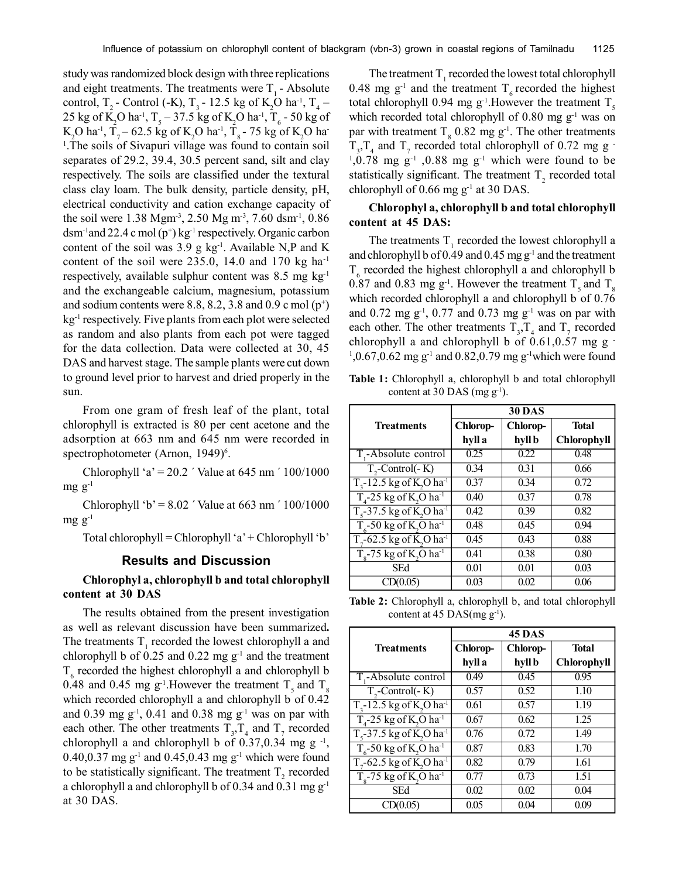study was randomized block design with three replications and eight treatments. The treatments were  $T<sub>1</sub>$  - Absolute control, T<sub>2</sub> - Control (-K), T<sub>3</sub> - 12.5 kg of K<sub>2</sub>O ha<sup>-1</sup>, T<sub>4</sub> – 25 kg of K<sub>2</sub>O ha<sup>-1</sup>, T<sub>5</sub> – 37.5 kg of K<sub>2</sub>O ha<sup>-1</sup>, T<sub>6</sub> - 50 kg of K<sub>2</sub>O ha<sup>-1</sup>, T<sub>7</sub> – 62.5 kg of K<sub>2</sub>O ha<sup>-1</sup>, T<sub>8</sub> - 75 kg of K<sub>2</sub>O ha-<sup>1</sup>. The soils of Sivapuri village was found to contain soil separates of 29.2, 39.4, 30.5 percent sand, silt and clay respectively. The soils are classified under the textural class clay loam. The bulk density, particle density, pH, electrical conductivity and cation exchange capacity of the soil were 1.38 Mgm<sup>-3</sup>, 2.50 Mg m<sup>-3</sup>, 7.60 dsm<sup>-1</sup>, 0.86  $d$ sm<sup>-1</sup>and 22.4 c mol (p<sup>+</sup>) kg<sup>-1</sup> respectively. Organic carbon content of the soil was  $3.9$  g kg<sup>-1</sup>. Available N,P and K content of the soil were  $235.0$ , 14.0 and 170 kg ha<sup>-1</sup> respectively, available sulphur content was  $8.5 \text{ mg kg}^{-1}$ and the exchangeable calcium, magnesium, potassium and sodium contents were 8.8, 8.2, 3.8 and 0.9 c mol  $(p^+)$ kg<sup>-1</sup> respectively. Five plants from each plot were selected as random and also plants from each pot were tagged for the data collection. Data were collected at 30, 45 DAS and harvest stage. The sample plants were cut down to ground level prior to harvest and dried properly in the sun.

From one gram of fresh leaf of the plant, total chlorophyll is extracted is 80 per cent acetone and the adsorption at 663 nm and 645 nm were recorded in spectrophotometer (Arnon, 1949)<sup>6</sup>.

Chlorophyll 'a' =  $20.2$  ' Value at 645 nm '  $100/1000$  $mg g^{-1}$ 

Chlorophyll 'b' =  $8.02$  ' Value at 663 nm '  $100/1000$  $mgg^{-1}$ 

Total chlorophyll = Chlorophyll 'a' + Chlorophyll 'b'

## **Results and Discussion**

# **Chlorophyl a, chlorophyll b and total chlorophyll content at 30 DAS**

The results obtained from the present investigation as well as relevant discussion have been summarized**.** The treatments  $T_1$  recorded the lowest chlorophyll a and chlorophyll b of  $0.25$  and  $0.22$  mg  $g^{-1}$  and the treatment  $T<sub>6</sub>$  recorded the highest chlorophyll a and chlorophyll b 0.48 and 0.45 mg g<sup>-1</sup>. However the treatment  $T_s$  and  $T_s$ which recorded chlorophyll a and chlorophyll b of 0.42 and 0.39 mg  $g^{-1}$ , 0.41 and 0.38 mg  $g^{-1}$  was on par with each other. The other treatments  $T_{3}$ ,  $T_{4}$  and  $T_{7}$  recorded chlorophyll a and chlorophyll b of  $0.37, 0.34$  mg g<sup>-1</sup>, 0.40,0.37 mg  $g^{-1}$  and 0.45,0.43 mg  $g^{-1}$  which were found to be statistically significant. The treatment  $T_2$  recorded a chlorophyll a and chlorophyll b of 0.34 and 0.31 mg  $g^{-1}$ at 30 DAS.

The treatment  $T_1$  recorded the lowest total chlorophyll 0.48 mg  $g^{-1}$  and the treatment T<sub>6</sub> recorded the highest total chlorophyll 0.94 mg  $g^{-1}$ . However the treatment T<sub>5</sub> which recorded total chlorophyll of  $0.80 \text{ mg g}^{-1}$  was on par with treatment  $T_s$  0.82 mg g<sup>-1</sup>. The other treatments  $T_{3}$ ,  $T_{4}$  and  $T_{7}$  recorded total chlorophyll of 0.72 mg g - $1,0.78$  mg g<sup>-1</sup>,0.88 mg g<sup>-1</sup> which were found to be statistically significant. The treatment  $T<sub>2</sub>$  recorded total chlorophyll of  $0.66$  mg g<sup>-1</sup> at 30 DAS.

## **Chlorophyl a, chlorophyll b and total chlorophyll content at 45 DAS:**

The treatments  $T_1$  recorded the lowest chlorophyll a and chlorophyll b of  $0.49$  and  $0.45$  mg  $g^{-1}$  and the treatment  $T<sub>6</sub>$  recorded the highest chlorophyll a and chlorophyll b 0.87 and 0.83 mg  $g^{-1}$ . However the treatment  $T_s$  and  $T_s$ which recorded chlorophyll a and chlorophyll b of 0.76 and  $0.72 \text{ mg g}^{-1}$ ,  $0.77$  and  $0.73 \text{ mg g}^{-1}$  was on par with each other. The other treatments  $T_3$ ,  $T_4$  and  $T_7$  recorded chlorophyll a and chlorophyll b of  $0.61, 0.57$  mg g  $^{-1}$  $1,0.67,0.62 \text{ mg g}^{-1}$  and  $0.82,0.79 \text{ mg g}^{-1}$  which were found

**Table 1:** Chlorophyll a, chlorophyll b and total chlorophyll content at 30 DAS (mg  $g^{-1}$ ).

|                                                         | <b>30 DAS</b> |          |                    |
|---------------------------------------------------------|---------------|----------|--------------------|
| <b>Treatments</b>                                       | Chlorop-      | Chlorop- | <b>Total</b>       |
|                                                         | hyll a        | hyll b   | <b>Chlorophyll</b> |
| T,-Absolute control                                     | 0.25          | 0.22     | 0.48               |
| $T,$ -Control $(-K)$                                    | 0.34          | 0.31     | 0.66               |
| $T3$ -12.5 kg of K <sub>2</sub> O ha <sup>-1</sup>      | 0.37          | 0.34     | 0.72               |
| $T4$ -25 kg of K <sub>2</sub> O ha <sup>-1</sup>        | 0.40          | 0.37     | 0.78               |
| $T_s$ -37.5 kg of K <sub>2</sub> O ha <sup>-1</sup>     | 0.42          | 0.39     | 0.82               |
| $T_6$ -50 kg of K <sub>2</sub> O ha <sup>1</sup>        | 0.48          | 0.45     | 0.94               |
| $T7$ -62.5 kg of K <sub>2</sub> O ha <sup>-1</sup>      | 0.45          | 0.43     | 0.88               |
| $T_{\circ}$ -75 kg of K <sub>2</sub> O ha <sup>-1</sup> | 0.41          | 0.38     | 0.80               |
| SEd                                                     | 0.01          | 0.01     | 0.03               |
| CD(0.05)                                                | 0.03          | 0.02     | 0.06               |

**Table 2:** Chlorophyll a, chlorophyll b, and total chlorophyll content at 45 DAS(mg  $g^{-1}$ ).

|                                                        | <b>45 DAS</b> |          |                    |
|--------------------------------------------------------|---------------|----------|--------------------|
| <b>Treatments</b>                                      | Chlorop-      | Chlorop- | <b>Total</b>       |
|                                                        | hyll a        | hyll b   | <b>Chlorophyll</b> |
| T,-Absolute control                                    | 0.49          | 0.45     | 0.95               |
| $T,$ -Control $(-K)$                                   | 0.57          | 0.52     | 1.10               |
| $T_{3}$ -12.5 kg of K <sub>2</sub> O ha <sup>-1</sup>  | 0.61          | 0.57     | 1.19               |
| $T4$ -25 kg of K <sub>2</sub> O ha <sup>-1</sup>       | 0.67          | 0.62     | 1.25               |
| $T_s$ -37.5 kg of K <sub>2</sub> O ha <sup>-1</sup>    | 0.76          | 0.72     | 1.49               |
| $T_c$ -50 kg of K <sub>2</sub> O ha <sup>1</sup>       | 0.87          | 0.83     | 1.70               |
| $T7$ -62.5 kg of K <sub>2</sub> O ha <sup>-1</sup>     | 0.82          | 0.79     | 1.61               |
| $T_{\circ}$ -75 kg of K <sub>2</sub> O ha <sup>1</sup> | 0.77          | 0.73     | 1.51               |
| SEd                                                    | 0.02          | 0.02     | 0.04               |
| CD(0.05)                                               | 0.05          | 0.04     | 0.09               |